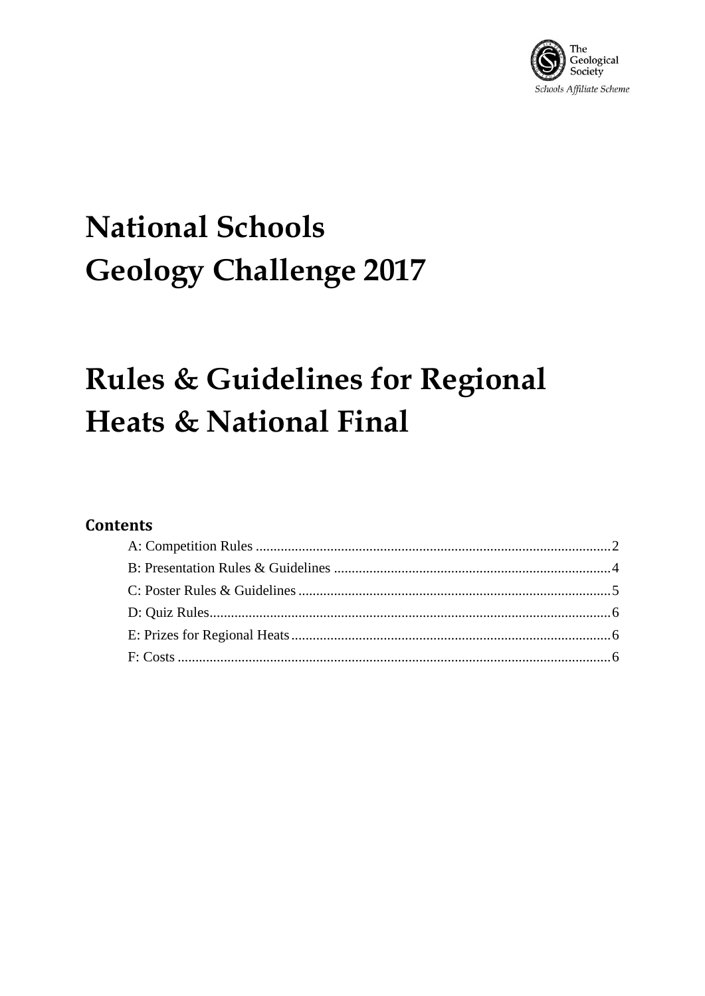

# **National Schools Geology Challenge 2017**

## **Rules & Guidelines for Regional** Heats & National Final

#### **Contents**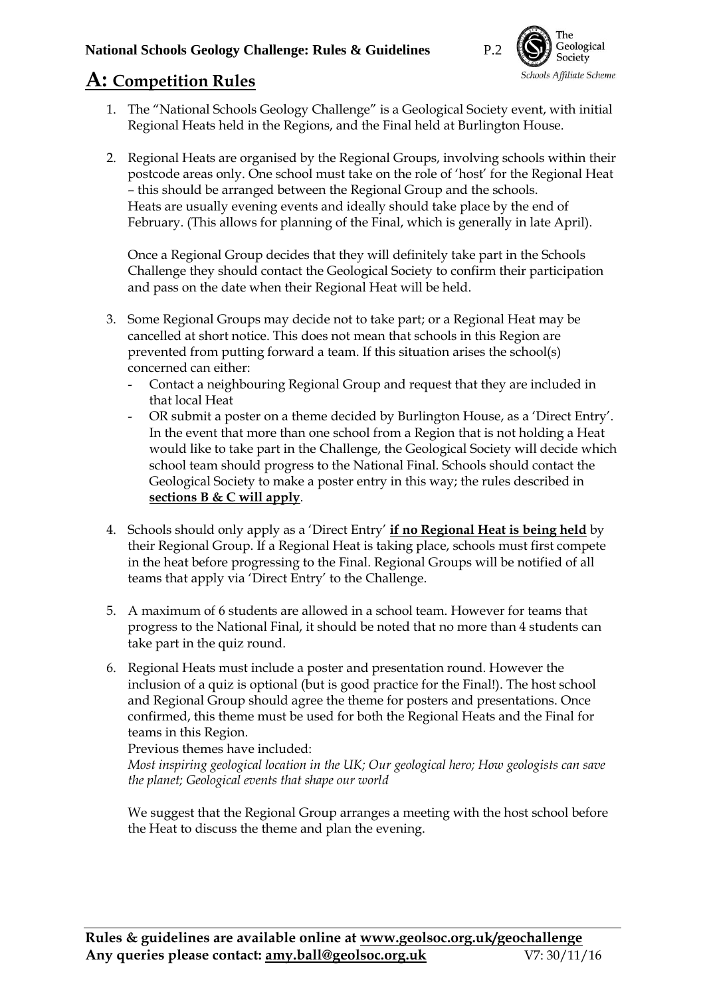

### <span id="page-1-0"></span>**A: Competition Rules**

- 1. The "National Schools Geology Challenge" is a Geological Society event, with initial Regional Heats held in the Regions, and the Final held at Burlington House.
- 2. Regional Heats are organised by the Regional Groups, involving schools within their postcode areas only. One school must take on the role of 'host' for the Regional Heat – this should be arranged between the Regional Group and the schools. Heats are usually evening events and ideally should take place by the end of February. (This allows for planning of the Final, which is generally in late April).

Once a Regional Group decides that they will definitely take part in the Schools Challenge they should contact the Geological Society to confirm their participation and pass on the date when their Regional Heat will be held.

- 3. Some Regional Groups may decide not to take part; or a Regional Heat may be cancelled at short notice. This does not mean that schools in this Region are prevented from putting forward a team. If this situation arises the school(s) concerned can either:
	- Contact a neighbouring Regional Group and request that they are included in that local Heat
	- OR submit a poster on a theme decided by Burlington House, as a 'Direct Entry'. In the event that more than one school from a Region that is not holding a Heat would like to take part in the Challenge, the Geological Society will decide which school team should progress to the National Final. Schools should contact the Geological Society to make a poster entry in this way; the rules described in **sections B & C will apply**.
- 4. Schools should only apply as a 'Direct Entry' **if no Regional Heat is being held** by their Regional Group. If a Regional Heat is taking place, schools must first compete in the heat before progressing to the Final. Regional Groups will be notified of all teams that apply via 'Direct Entry' to the Challenge.
- 5. A maximum of 6 students are allowed in a school team. However for teams that progress to the National Final, it should be noted that no more than 4 students can take part in the quiz round.
- 6. Regional Heats must include a poster and presentation round. However the inclusion of a quiz is optional (but is good practice for the Final!). The host school and Regional Group should agree the theme for posters and presentations. Once confirmed, this theme must be used for both the Regional Heats and the Final for teams in this Region.

Previous themes have included:

*Most inspiring geological location in the UK; Our geological hero; How geologists can save the planet; Geological events that shape our world* 

We suggest that the Regional Group arranges a meeting with the host school before the Heat to discuss the theme and plan the evening.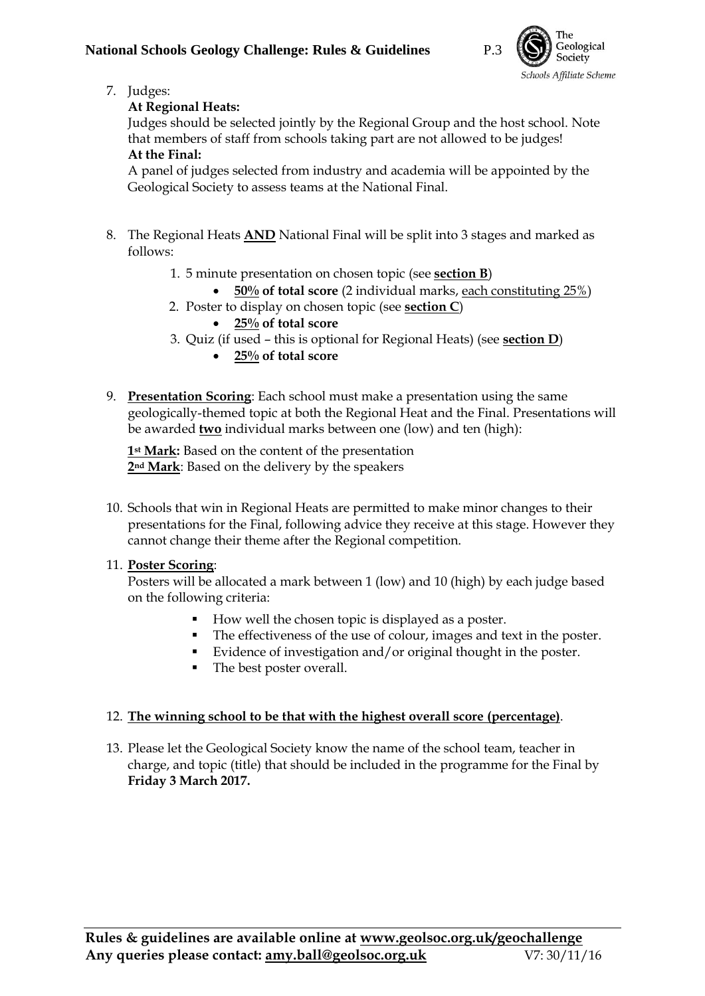

7. Judges:

#### **At Regional Heats:**

Judges should be selected jointly by the Regional Group and the host school. Note that members of staff from schools taking part are not allowed to be judges! **At the Final:**

A panel of judges selected from industry and academia will be appointed by the Geological Society to assess teams at the National Final.

- 8. The Regional Heats **AND** National Final will be split into 3 stages and marked as follows:
	- 1. 5 minute presentation on chosen topic (see **section B**)
		- **50% of total score** (2 individual marks, each constituting 25%)
	- 2. Poster to display on chosen topic (see **section C**)
		- **25% of total score**
	- 3. Quiz (if used this is optional for Regional Heats) (see **section D**)
		- **25% of total score**
- 9. **Presentation Scoring**: Each school must make a presentation using the same geologically-themed topic at both the Regional Heat and the Final. Presentations will be awarded **two** individual marks between one (low) and ten (high):

**1st Mark:** Based on the content of the presentation **2nd Mark**: Based on the delivery by the speakers

10. Schools that win in Regional Heats are permitted to make minor changes to their presentations for the Final, following advice they receive at this stage. However they cannot change their theme after the Regional competition.

#### 11. **Poster Scoring**:

Posters will be allocated a mark between 1 (low) and 10 (high) by each judge based on the following criteria:

- How well the chosen topic is displayed as a poster.
- The effectiveness of the use of colour, images and text in the poster.
- Evidence of investigation and/or original thought in the poster.
- The best poster overall.

#### 12. **The winning school to be that with the highest overall score (percentage)**.

13. Please let the Geological Society know the name of the school team, teacher in charge, and topic (title) that should be included in the programme for the Final by **Friday 3 March 2017.**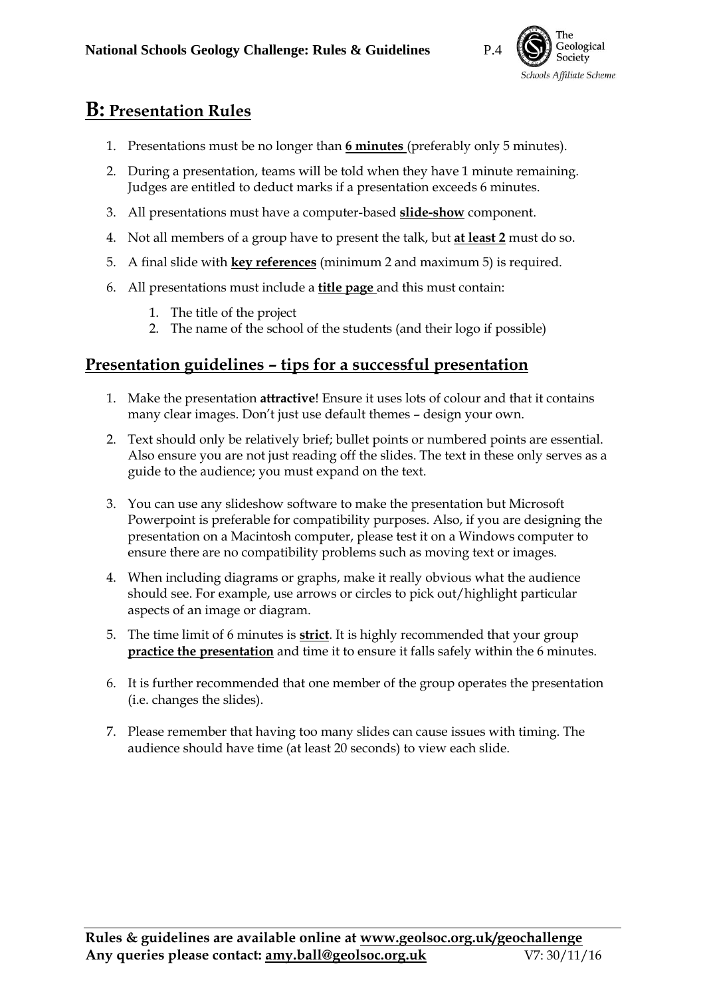

## <span id="page-3-0"></span>**B: Presentation Rules**

- 1. Presentations must be no longer than **6 minutes** (preferably only 5 minutes).
- 2. During a presentation, teams will be told when they have 1 minute remaining. Judges are entitled to deduct marks if a presentation exceeds 6 minutes.
- 3. All presentations must have a computer-based **slide-show** component.
- 4. Not all members of a group have to present the talk, but **at least 2** must do so.
- 5. A final slide with **key references** (minimum 2 and maximum 5) is required.
- 6. All presentations must include a **title page** and this must contain:
	- 1. The title of the project
	- 2. The name of the school of the students (and their logo if possible)

#### **Presentation guidelines – tips for a successful presentation**

- 1. Make the presentation **attractive**! Ensure it uses lots of colour and that it contains many clear images. Don't just use default themes – design your own.
- 2. Text should only be relatively brief; bullet points or numbered points are essential. Also ensure you are not just reading off the slides. The text in these only serves as a guide to the audience; you must expand on the text.
- 3. You can use any slideshow software to make the presentation but Microsoft Powerpoint is preferable for compatibility purposes. Also, if you are designing the presentation on a Macintosh computer, please test it on a Windows computer to ensure there are no compatibility problems such as moving text or images.
- 4. When including diagrams or graphs, make it really obvious what the audience should see. For example, use arrows or circles to pick out/highlight particular aspects of an image or diagram.
- 5. The time limit of 6 minutes is **strict**. It is highly recommended that your group **practice the presentation** and time it to ensure it falls safely within the 6 minutes.
- 6. It is further recommended that one member of the group operates the presentation (i.e. changes the slides).
- 7. Please remember that having too many slides can cause issues with timing. The audience should have time (at least 20 seconds) to view each slide.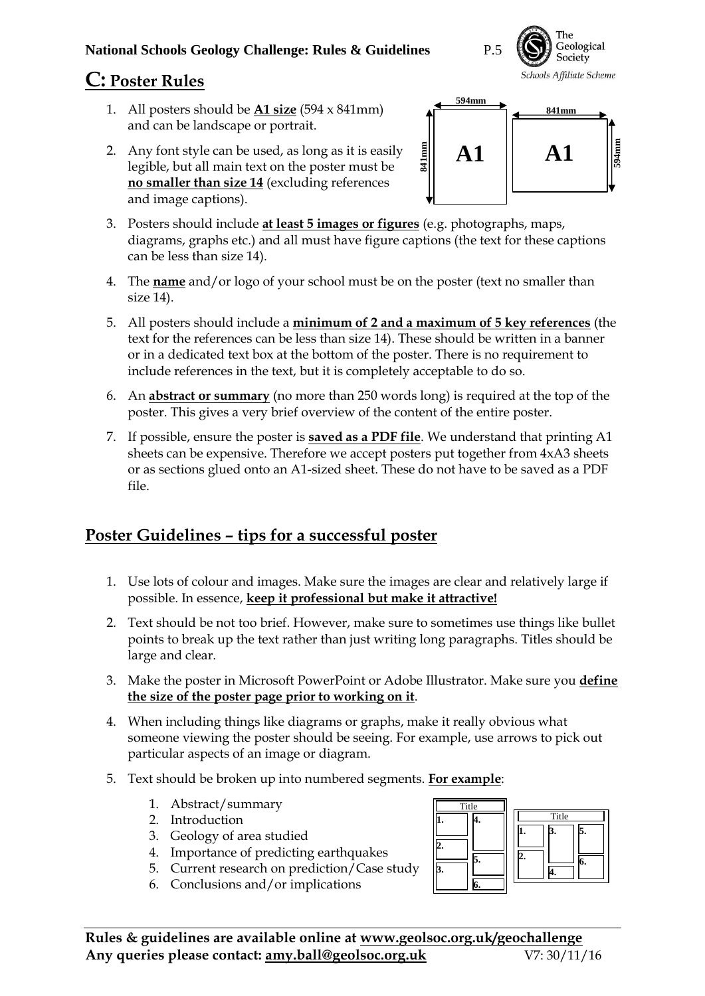#### **National Schools Geology Challenge: Rules & Guidelines** P.5

## <span id="page-4-0"></span>**C: Poster Rules**

- 1. All posters should be **A1 size** (594 x 841mm) and can be landscape or portrait.
- 2. Any font style can be used, as long as it is easily legible, but all main text on the poster must be **no smaller than size 14** (excluding references and image captions).



The

3. Posters should include **at least 5 images or figures** (e.g. photographs, maps, diagrams, graphs etc.) and all must have figure captions (the text for these captions can be less than size 14).

**841mm**

- 4. The **name** and/or logo of your school must be on the poster (text no smaller than size 14).
- 5. All posters should include a **minimum of 2 and a maximum of 5 key references** (the text for the references can be less than size 14). These should be written in a banner or in a dedicated text box at the bottom of the poster. There is no requirement to include references in the text, but it is completely acceptable to do so.
- 6. An **abstract or summary** (no more than 250 words long) is required at the top of the poster. This gives a very brief overview of the content of the entire poster.
- 7. If possible, ensure the poster is **saved as a PDF file**. We understand that printing A1 sheets can be expensive. Therefore we accept posters put together from 4xA3 sheets or as sections glued onto an A1-sized sheet. These do not have to be saved as a PDF file.

#### **Poster Guidelines – tips for a successful poster**

- 1. Use lots of colour and images. Make sure the images are clear and relatively large if possible. In essence, **keep it professional but make it attractive!**
- 2. Text should be not too brief. However, make sure to sometimes use things like bullet points to break up the text rather than just writing long paragraphs. Titles should be large and clear.
- 3. Make the poster in Microsoft PowerPoint or Adobe Illustrator. Make sure you **define the size of the poster page prior to working on it**.
- 4. When including things like diagrams or graphs, make it really obvious what someone viewing the poster should be seeing. For example, use arrows to pick out particular aspects of an image or diagram.
- 5. Text should be broken up into numbered segments. **For example**:
	- 1. Abstract/summary
	- 2. Introduction
	- 3. Geology of area studied
	- 4. Importance of predicting earthquakes
	- 5. Current research on prediction/Case study
	- 6. Conclusions and/or implications